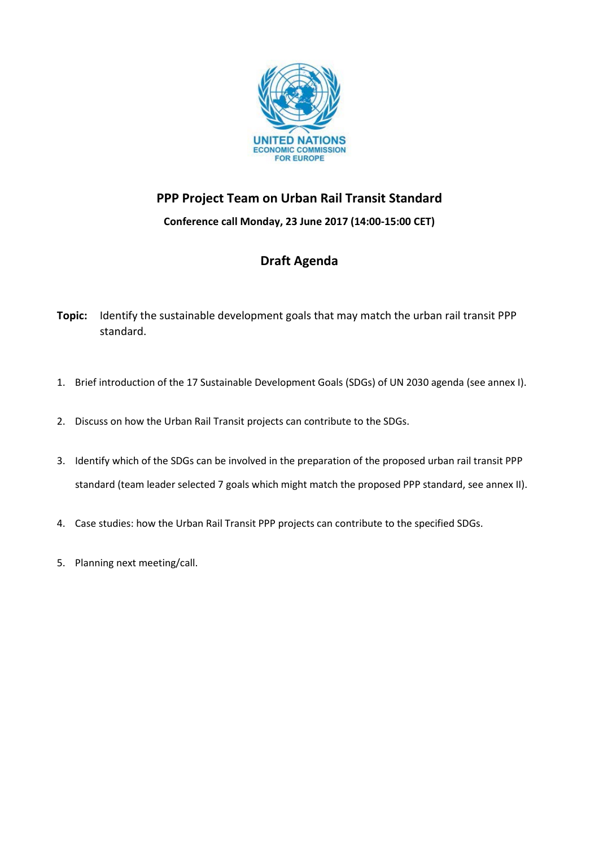

## **PPP Project Team on Urban Rail Transit Standard**

**Conference call Monday, 23 June 2017 (14:00-15:00 CET)**

## **Draft Agenda**

- **Topic:** Identify the sustainable development goals that may match the urban rail transit PPP standard.
- 1. Brief introduction of the 17 Sustainable Development Goals (SDGs) of UN 2030 agenda (see annex I).
- 2. Discuss on how the Urban Rail Transit projects can contribute to the SDGs.
- 3. Identify which of the SDGs can be involved in the preparation of the proposed urban rail transit PPP standard (team leader selected 7 goals which might match the proposed PPP standard, see annex II).
- 4. Case studies: how the Urban Rail Transit PPP projects can contribute to the specified SDGs.
- 5. Planning next meeting/call.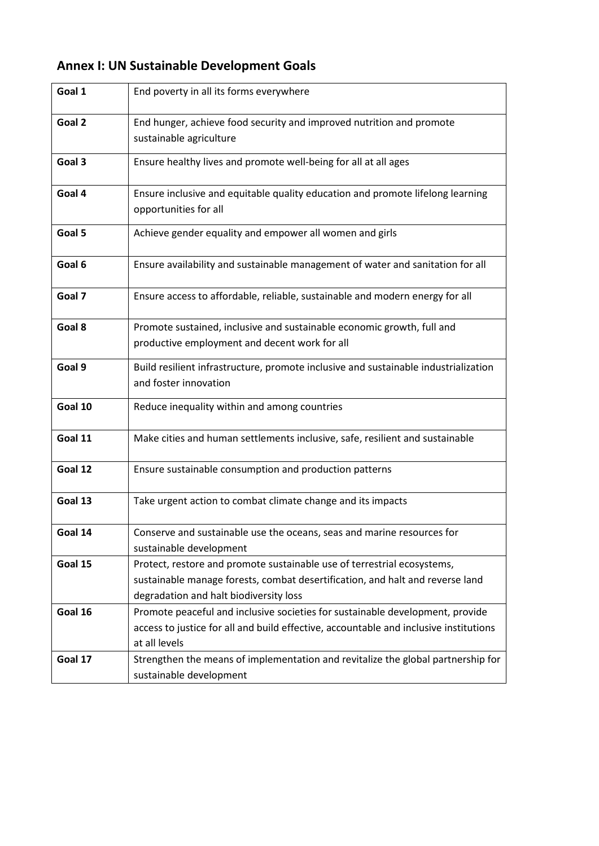| Goal 1  | End poverty in all its forms everywhere                                               |
|---------|---------------------------------------------------------------------------------------|
| Goal 2  | End hunger, achieve food security and improved nutrition and promote                  |
|         | sustainable agriculture                                                               |
|         |                                                                                       |
| Goal 3  | Ensure healthy lives and promote well-being for all at all ages                       |
| Goal 4  | Ensure inclusive and equitable quality education and promote lifelong learning        |
|         | opportunities for all                                                                 |
|         |                                                                                       |
| Goal 5  | Achieve gender equality and empower all women and girls                               |
|         |                                                                                       |
| Goal 6  | Ensure availability and sustainable management of water and sanitation for all        |
|         |                                                                                       |
| Goal 7  | Ensure access to affordable, reliable, sustainable and modern energy for all          |
| Goal 8  |                                                                                       |
|         | Promote sustained, inclusive and sustainable economic growth, full and                |
|         | productive employment and decent work for all                                         |
| Goal 9  | Build resilient infrastructure, promote inclusive and sustainable industrialization   |
|         | and foster innovation                                                                 |
| Goal 10 | Reduce inequality within and among countries                                          |
|         |                                                                                       |
| Goal 11 | Make cities and human settlements inclusive, safe, resilient and sustainable          |
|         |                                                                                       |
| Goal 12 | Ensure sustainable consumption and production patterns                                |
|         |                                                                                       |
| Goal 13 | Take urgent action to combat climate change and its impacts                           |
|         |                                                                                       |
| Goal 14 | Conserve and sustainable use the oceans, seas and marine resources for                |
|         | sustainable development                                                               |
| Goal 15 | Protect, restore and promote sustainable use of terrestrial ecosystems,               |
|         | sustainable manage forests, combat desertification, and halt and reverse land         |
|         | degradation and halt biodiversity loss                                                |
| Goal 16 | Promote peaceful and inclusive societies for sustainable development, provide         |
|         | access to justice for all and build effective, accountable and inclusive institutions |
|         | at all levels                                                                         |
| Goal 17 | Strengthen the means of implementation and revitalize the global partnership for      |
|         | sustainable development                                                               |

## **Annex I: UN Sustainable Development Goals**